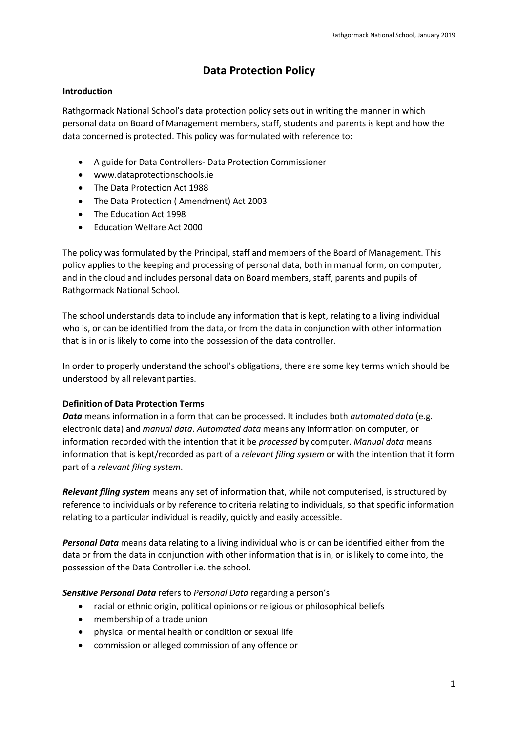# **Data Protection Policy**

### **Introduction**

Rathgormack National School's data protection policy sets out in writing the manner in which personal data on Board of Management members, staff, students and parents is kept and how the data concerned is protected. This policy was formulated with reference to:

- A guide for Data Controllers- Data Protection Commissioner
- www.dataprotectionschools.ie
- The Data Protection Act 1988
- The Data Protection ( Amendment) Act 2003
- The Education Act 1998
- Fducation Welfare Act 2000

The policy was formulated by the Principal, staff and members of the Board of Management. This policy applies to the keeping and processing of personal data, both in manual form, on computer, and in the cloud and includes personal data on Board members, staff, parents and pupils of Rathgormack National School.

The school understands data to include any information that is kept, relating to a living individual who is, or can be identified from the data, or from the data in conjunction with other information that is in or is likely to come into the possession of the data controller.

In order to properly understand the school's obligations, there are some key terms which should be understood by all relevant parties.

### **Definition of Data Protection Terms**

*Data* means information in a form that can be processed. It includes both *automated data* (e.g. electronic data) and *manual data*. *Automated data* means any information on computer, or information recorded with the intention that it be *processed* by computer. *Manual data* means information that is kept/recorded as part of a *relevant filing system* or with the intention that it form part of a *relevant filing system*.

*Relevant filing system* means any set of information that, while not computerised, is structured by reference to individuals or by reference to criteria relating to individuals, so that specific information relating to a particular individual is readily, quickly and easily accessible.

*Personal Data* means data relating to a living individual who is or can be identified either from the data or from the data in conjunction with other information that is in, or is likely to come into, the possession of the Data Controller i.e. the school.

*Sensitive Personal Data* refers to *Personal Data* regarding a person's

- racial or ethnic origin, political opinions or religious or philosophical beliefs
- membership of a trade union
- physical or mental health or condition or sexual life
- commission or alleged commission of any offence or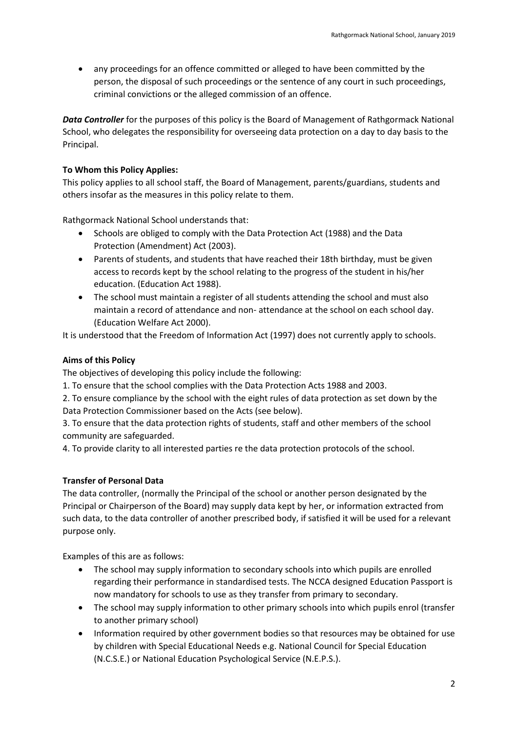any proceedings for an offence committed or alleged to have been committed by the person, the disposal of such proceedings or the sentence of any court in such proceedings, criminal convictions or the alleged commission of an offence.

*Data Controller* for the purposes of this policy is the Board of Management of Rathgormack National School, who delegates the responsibility for overseeing data protection on a day to day basis to the Principal.

### **To Whom this Policy Applies:**

This policy applies to all school staff, the Board of Management, parents/guardians, students and others insofar as the measures in this policy relate to them.

Rathgormack National School understands that:

- Schools are obliged to comply with the Data Protection Act (1988) and the Data Protection (Amendment) Act (2003).
- Parents of students, and students that have reached their 18th birthday, must be given access to records kept by the school relating to the progress of the student in his/her education. (Education Act 1988).
- The school must maintain a register of all students attending the school and must also maintain a record of attendance and non- attendance at the school on each school day. (Education Welfare Act 2000).

It is understood that the Freedom of Information Act (1997) does not currently apply to schools.

### **Aims of this Policy**

The objectives of developing this policy include the following:

1. To ensure that the school complies with the Data Protection Acts 1988 and 2003.

2. To ensure compliance by the school with the eight rules of data protection as set down by the Data Protection Commissioner based on the Acts (see below).

3. To ensure that the data protection rights of students, staff and other members of the school community are safeguarded.

4. To provide clarity to all interested parties re the data protection protocols of the school.

#### **Transfer of Personal Data**

The data controller, (normally the Principal of the school or another person designated by the Principal or Chairperson of the Board) may supply data kept by her, or information extracted from such data, to the data controller of another prescribed body, if satisfied it will be used for a relevant purpose only.

Examples of this are as follows:

- The school may supply information to secondary schools into which pupils are enrolled regarding their performance in standardised tests. The NCCA designed Education Passport is now mandatory for schools to use as they transfer from primary to secondary.
- The school may supply information to other primary schools into which pupils enrol (transfer to another primary school)
- Information required by other government bodies so that resources may be obtained for use by children with Special Educational Needs e.g. National Council for Special Education (N.C.S.E.) or National Education Psychological Service (N.E.P.S.).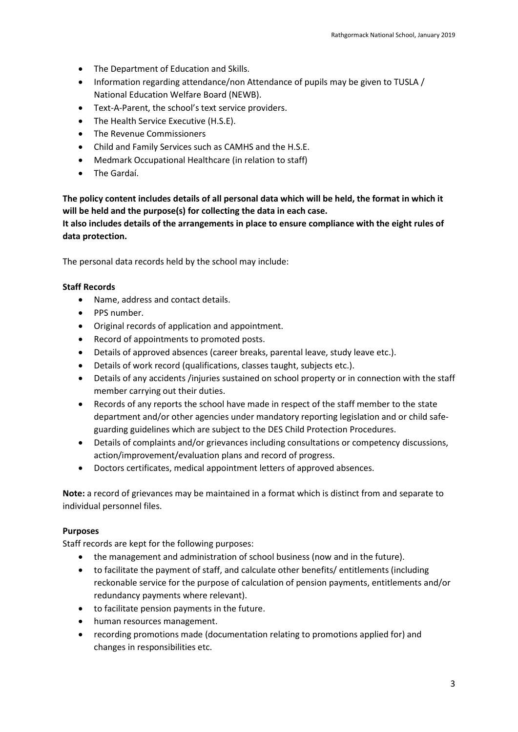- The Department of Education and Skills.
- Information regarding attendance/non Attendance of pupils may be given to TUSLA / National Education Welfare Board (NEWB).
- Text-A-Parent, the school's text service providers.
- The Health Service Executive (H.S.E).
- The Revenue Commissioners
- Child and Family Services such as CAMHS and the H.S.E.
- Medmark Occupational Healthcare (in relation to staff)
- The Gardaí.

**The policy content includes details of all personal data which will be held, the format in which it will be held and the purpose(s) for collecting the data in each case.**

**It also includes details of the arrangements in place to ensure compliance with the eight rules of data protection.**

The personal data records held by the school may include:

#### **Staff Records**

- Name, address and contact details.
- PPS number.
- Original records of application and appointment.
- Record of appointments to promoted posts.
- Details of approved absences (career breaks, parental leave, study leave etc.).
- Details of work record (qualifications, classes taught, subjects etc.).
- Details of any accidents /injuries sustained on school property or in connection with the staff member carrying out their duties.
- Records of any reports the school have made in respect of the staff member to the state department and/or other agencies under mandatory reporting legislation and or child safeguarding guidelines which are subject to the DES Child Protection Procedures.
- Details of complaints and/or grievances including consultations or competency discussions, action/improvement/evaluation plans and record of progress.
- Doctors certificates, medical appointment letters of approved absences.

**Note:** a record of grievances may be maintained in a format which is distinct from and separate to individual personnel files.

#### **Purposes**

Staff records are kept for the following purposes:

- the management and administration of school business (now and in the future).
- to facilitate the payment of staff, and calculate other benefits/ entitlements (including reckonable service for the purpose of calculation of pension payments, entitlements and/or redundancy payments where relevant).
- to facilitate pension payments in the future.
- human resources management.
- recording promotions made (documentation relating to promotions applied for) and changes in responsibilities etc.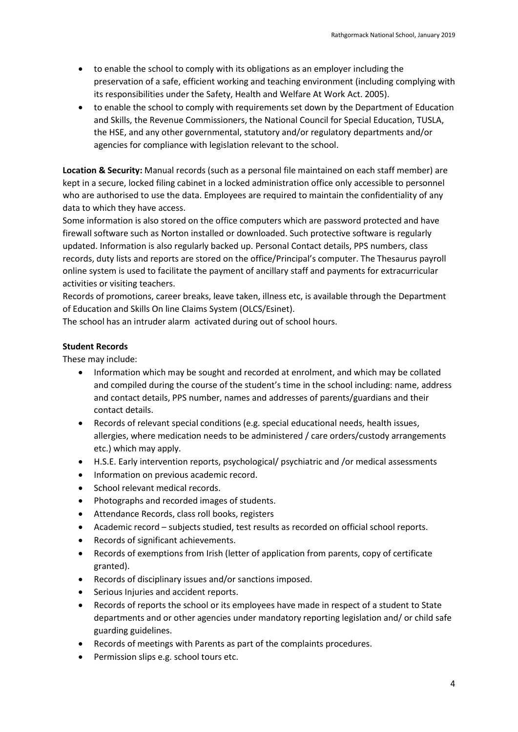- to enable the school to comply with its obligations as an employer including the preservation of a safe, efficient working and teaching environment (including complying with its responsibilities under the Safety, Health and Welfare At Work Act. 2005).
- to enable the school to comply with requirements set down by the Department of Education and Skills, the Revenue Commissioners, the National Council for Special Education, TUSLA, the HSE, and any other governmental, statutory and/or regulatory departments and/or agencies for compliance with legislation relevant to the school.

**Location & Security:** Manual records (such as a personal file maintained on each staff member) are kept in a secure, locked filing cabinet in a locked administration office only accessible to personnel who are authorised to use the data. Employees are required to maintain the confidentiality of any data to which they have access.

Some information is also stored on the office computers which are password protected and have firewall software such as Norton installed or downloaded. Such protective software is regularly updated. Information is also regularly backed up. Personal Contact details, PPS numbers, class records, duty lists and reports are stored on the office/Principal's computer. The Thesaurus payroll online system is used to facilitate the payment of ancillary staff and payments for extracurricular activities or visiting teachers.

Records of promotions, career breaks, leave taken, illness etc, is available through the Department of Education and Skills On line Claims System (OLCS/Esinet).

The school has an intruder alarm activated during out of school hours.

### **Student Records**

These may include:

- Information which may be sought and recorded at enrolment, and which may be collated and compiled during the course of the student's time in the school including: name, address and contact details, PPS number, names and addresses of parents/guardians and their contact details.
- Records of relevant special conditions (e.g. special educational needs, health issues, allergies, where medication needs to be administered / care orders/custody arrangements etc.) which may apply.
- H.S.E. Early intervention reports, psychological/ psychiatric and /or medical assessments
- Information on previous academic record.
- School relevant medical records.
- Photographs and recorded images of students.
- Attendance Records, class roll books, registers
- Academic record subjects studied, test results as recorded on official school reports.
- Records of significant achievements.
- Records of exemptions from Irish (letter of application from parents, copy of certificate granted).
- Records of disciplinary issues and/or sanctions imposed.
- Serious Injuries and accident reports.
- Records of reports the school or its employees have made in respect of a student to State departments and or other agencies under mandatory reporting legislation and/ or child safe guarding guidelines.
- Records of meetings with Parents as part of the complaints procedures.
- Permission slips e.g. school tours etc.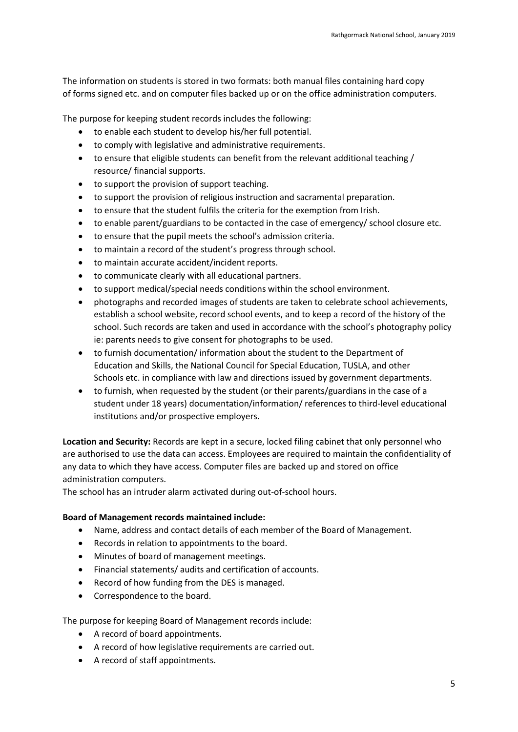The information on students is stored in two formats: both manual files containing hard copy of forms signed etc. and on computer files backed up or on the office administration computers.

The purpose for keeping student records includes the following:

- to enable each student to develop his/her full potential.
- to comply with legislative and administrative requirements.
- to ensure that eligible students can benefit from the relevant additional teaching / resource/ financial supports.
- to support the provision of support teaching.
- to support the provision of religious instruction and sacramental preparation.
- to ensure that the student fulfils the criteria for the exemption from Irish.
- to enable parent/guardians to be contacted in the case of emergency/ school closure etc.
- to ensure that the pupil meets the school's admission criteria.
- to maintain a record of the student's progress through school.
- to maintain accurate accident/incident reports.
- to communicate clearly with all educational partners.
- to support medical/special needs conditions within the school environment.
- photographs and recorded images of students are taken to celebrate school achievements, establish a school website, record school events, and to keep a record of the history of the school. Such records are taken and used in accordance with the school's photography policy ie: parents needs to give consent for photographs to be used.
- to furnish documentation/ information about the student to the Department of Education and Skills, the National Council for Special Education, TUSLA, and other Schools etc. in compliance with law and directions issued by government departments.
- to furnish, when requested by the student (or their parents/guardians in the case of a student under 18 years) documentation/information/ references to third-level educational institutions and/or prospective employers.

**Location and Security:** Records are kept in a secure, locked filing cabinet that only personnel who are authorised to use the data can access. Employees are required to maintain the confidentiality of any data to which they have access. Computer files are backed up and stored on office administration computers.

The school has an intruder alarm activated during out-of-school hours.

#### **Board of Management records maintained include:**

- Name, address and contact details of each member of the Board of Management.
- Records in relation to appointments to the board.
- Minutes of board of management meetings.
- Financial statements/ audits and certification of accounts.
- Record of how funding from the DES is managed.
- Correspondence to the board.

The purpose for keeping Board of Management records include:

- A record of board appointments.
- A record of how legislative requirements are carried out.
- A record of staff appointments.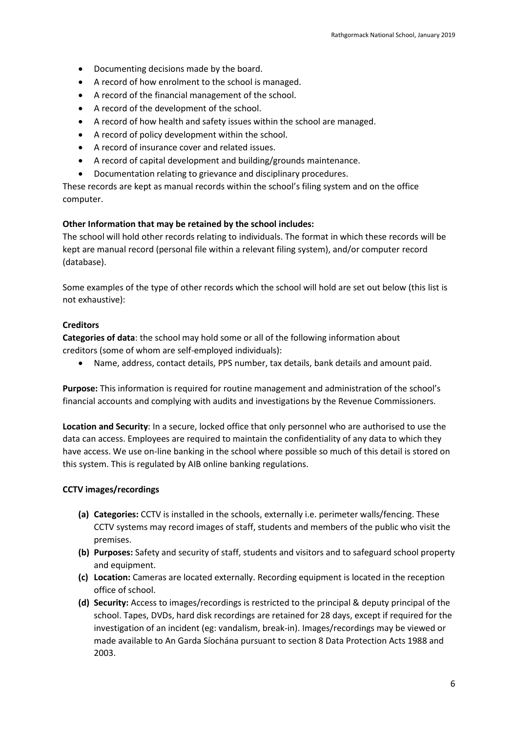- Documenting decisions made by the board.
- A record of how enrolment to the school is managed.
- A record of the financial management of the school.
- A record of the development of the school.
- A record of how health and safety issues within the school are managed.
- A record of policy development within the school.
- A record of insurance cover and related issues.
- A record of capital development and building/grounds maintenance.
- Documentation relating to grievance and disciplinary procedures.

These records are kept as manual records within the school's filing system and on the office computer.

#### **Other Information that may be retained by the school includes:**

The school will hold other records relating to individuals. The format in which these records will be kept are manual record (personal file within a relevant filing system), and/or computer record (database).

Some examples of the type of other records which the school will hold are set out below (this list is not exhaustive):

#### **Creditors**

**Categories of data**: the school may hold some or all of the following information about creditors (some of whom are self-employed individuals):

Name, address, contact details, PPS number, tax details, bank details and amount paid.

**Purpose:** This information is required for routine management and administration of the school's financial accounts and complying with audits and investigations by the Revenue Commissioners.

**Location and Security**: In a secure, locked office that only personnel who are authorised to use the data can access. Employees are required to maintain the confidentiality of any data to which they have access. We use on-line banking in the school where possible so much of this detail is stored on this system. This is regulated by AIB online banking regulations.

#### **CCTV images/recordings**

- **(a) Categories:** CCTV is installed in the schools, externally i.e. perimeter walls/fencing. These CCTV systems may record images of staff, students and members of the public who visit the premises.
- **(b) Purposes:** Safety and security of staff, students and visitors and to safeguard school property and equipment.
- **(c) Location:** Cameras are located externally. Recording equipment is located in the reception office of school.
- **(d) Security:** Access to images/recordings is restricted to the principal & deputy principal of the school. Tapes, DVDs, hard disk recordings are retained for 28 days, except if required for the investigation of an incident (eg: vandalism, break-in). Images/recordings may be viewed or made available to An Garda Síochána pursuant to section 8 Data Protection Acts 1988 and 2003.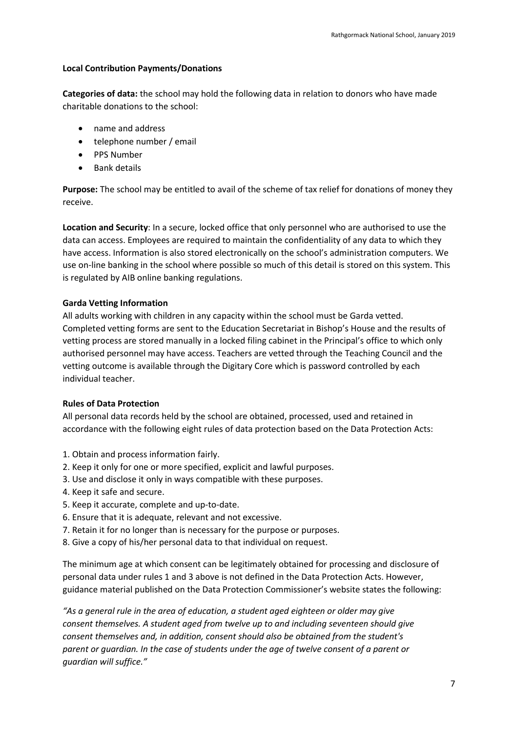#### **Local Contribution Payments/Donations**

**Categories of data:** the school may hold the following data in relation to donors who have made charitable donations to the school:

- name and address
- telephone number / email
- PPS Number
- Bank details

**Purpose:** The school may be entitled to avail of the scheme of tax relief for donations of money they receive.

**Location and Security**: In a secure, locked office that only personnel who are authorised to use the data can access. Employees are required to maintain the confidentiality of any data to which they have access. Information is also stored electronically on the school's administration computers. We use on-line banking in the school where possible so much of this detail is stored on this system. This is regulated by AIB online banking regulations.

### **Garda Vetting Information**

All adults working with children in any capacity within the school must be Garda vetted. Completed vetting forms are sent to the Education Secretariat in Bishop's House and the results of vetting process are stored manually in a locked filing cabinet in the Principal's office to which only authorised personnel may have access. Teachers are vetted through the Teaching Council and the vetting outcome is available through the Digitary Core which is password controlled by each individual teacher.

#### **Rules of Data Protection**

All personal data records held by the school are obtained, processed, used and retained in accordance with the following eight rules of data protection based on the Data Protection Acts:

- 1. Obtain and process information fairly.
- 2. Keep it only for one or more specified, explicit and lawful purposes.
- 3. Use and disclose it only in ways compatible with these purposes.
- 4. Keep it safe and secure.
- 5. Keep it accurate, complete and up-to-date.
- 6. Ensure that it is adequate, relevant and not excessive.
- 7. Retain it for no longer than is necessary for the purpose or purposes.
- 8. Give a copy of his/her personal data to that individual on request.

The minimum age at which consent can be legitimately obtained for processing and disclosure of personal data under rules 1 and 3 above is not defined in the Data Protection Acts. However, guidance material published on the Data Protection Commissioner's website states the following:

*"As a general rule in the area of education, a student aged eighteen or older may give consent themselves. A student aged from twelve up to and including seventeen should give consent themselves and, in addition, consent should also be obtained from the student's parent or guardian. In the case of students under the age of twelve consent of a parent or guardian will suffice."*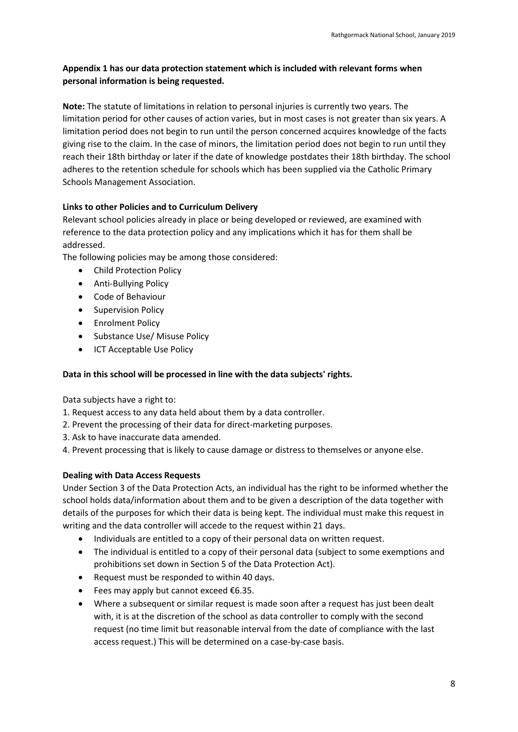# **Appendix 1 has our data protection statement which is included with relevant forms when personal information is being requested.**

**Note:** The statute of limitations in relation to personal injuries is currently two years. The limitation period for other causes of action varies, but in most cases is not greater than six years. A limitation period does not begin to run until the person concerned acquires knowledge of the facts giving rise to the claim. In the case of minors, the limitation period does not begin to run until they reach their 18th birthday or later if the date of knowledge postdates their 18th birthday. The school adheres to the retention schedule for schools which has been supplied via the Catholic Primary Schools Management Association.

# **Links to other Policies and to Curriculum Delivery**

Relevant school policies already in place or being developed or reviewed, are examined with reference to the data protection policy and any implications which it has for them shall be addressed.

The following policies may be among those considered:

- Child Protection Policy
- Anti-Bullying Policy
- Code of Behaviour
- Supervision Policy
- Enrolment Policy
- Substance Use/ Misuse Policy
- ICT Acceptable Use Policy

### **Data in this school will be processed in line with the data subjects' rights.**

Data subjects have a right to:

- 1. Request access to any data held about them by a data controller.
- 2. Prevent the processing of their data for direct-marketing purposes.
- 3. Ask to have inaccurate data amended.
- 4. Prevent processing that is likely to cause damage or distress to themselves or anyone else.

### **Dealing with Data Access Requests**

Under Section 3 of the Data Protection Acts, an individual has the right to be informed whether the school holds data/information about them and to be given a description of the data together with details of the purposes for which their data is being kept. The individual must make this request in writing and the data controller will accede to the request within 21 days.

- Individuals are entitled to a copy of their personal data on written request.
- The individual is entitled to a copy of their personal data (subject to some exemptions and prohibitions set down in Section 5 of the Data Protection Act).
- Request must be responded to within 40 days.
- Fees may apply but cannot exceed €6.35.
- Where a subsequent or similar request is made soon after a request has just been dealt with, it is at the discretion of the school as data controller to comply with the second request (no time limit but reasonable interval from the date of compliance with the last access request.) This will be determined on a case-by-case basis.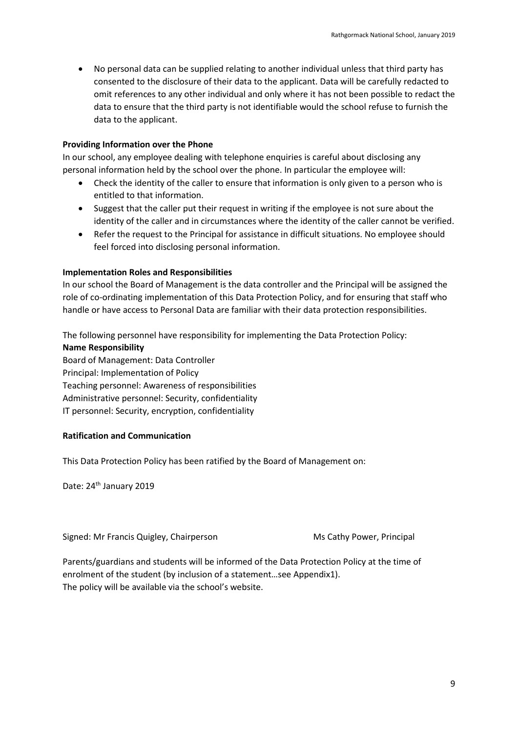No personal data can be supplied relating to another individual unless that third party has consented to the disclosure of their data to the applicant. Data will be carefully redacted to omit references to any other individual and only where it has not been possible to redact the data to ensure that the third party is not identifiable would the school refuse to furnish the data to the applicant.

#### **Providing Information over the Phone**

In our school, any employee dealing with telephone enquiries is careful about disclosing any personal information held by the school over the phone. In particular the employee will:

- Check the identity of the caller to ensure that information is only given to a person who is entitled to that information.
- Suggest that the caller put their request in writing if the employee is not sure about the identity of the caller and in circumstances where the identity of the caller cannot be verified.
- Refer the request to the Principal for assistance in difficult situations. No employee should feel forced into disclosing personal information.

#### **Implementation Roles and Responsibilities**

In our school the Board of Management is the data controller and the Principal will be assigned the role of co-ordinating implementation of this Data Protection Policy, and for ensuring that staff who handle or have access to Personal Data are familiar with their data protection responsibilities.

The following personnel have responsibility for implementing the Data Protection Policy:

#### **Name Responsibility**

Board of Management: Data Controller Principal: Implementation of Policy Teaching personnel: Awareness of responsibilities Administrative personnel: Security, confidentiality IT personnel: Security, encryption, confidentiality

### **Ratification and Communication**

This Data Protection Policy has been ratified by the Board of Management on:

Date: 24<sup>th</sup> January 2019

Signed: Mr Francis Quigley, Chairperson Ms Cathy Power, Principal

Parents/guardians and students will be informed of the Data Protection Policy at the time of enrolment of the student (by inclusion of a statement…see Appendix1). The policy will be available via the school's website.